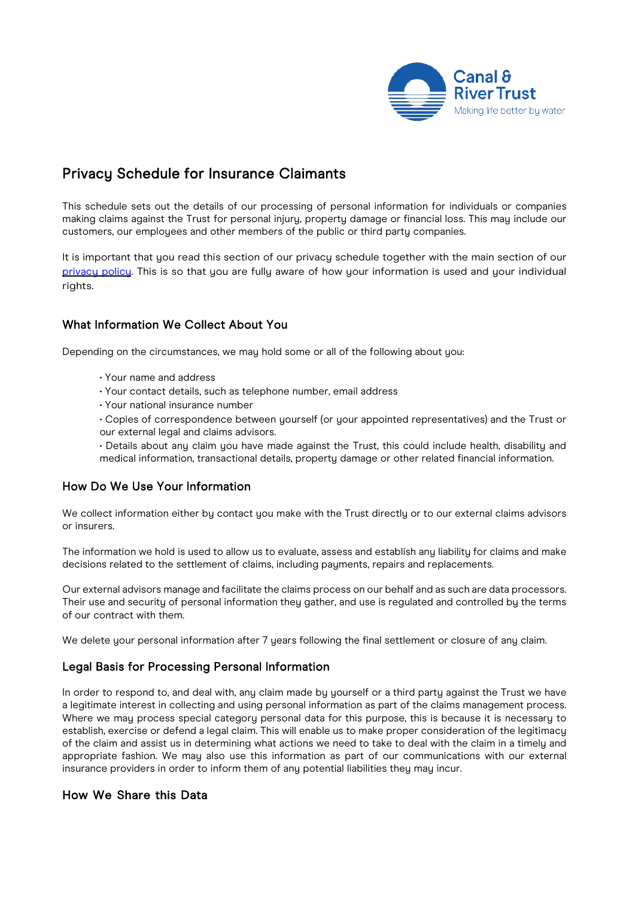

# Privacy Schedule for Insurance Claimants

This schedule sets out the details of our processing of personal information for individuals or companies making claims against the Trust for personal injury, property damage or financial loss. This may include our customers, our employees and other members of the public or third party companies.

It is important that you read this section of our privacy schedule together with the main section of our privacu [policy. T](https://canalrivertrust.org.uk/cookie-and-privacy-policy)his is so that you are fully aware of how your information is used and your individual rights.

## What Information We Collect About You

Depending on the circumstances, we may hold some or all of the following about you:

- Your name and address
- Your contact details, such as telephone number, email address
- Your national insurance number
- Copies of correspondence between yourself (or your appointed representatives) and the Trust or our external legal and claims advisors.
- Details about any claim you have made against the Trust, this could include health, disability and medical information, transactional details, property damage or other related financial information.

#### How Do We Use Your Information

We collect information either by contact you make with the Trust directly or to our external claims advisors or insurers.

The information we hold is used to allow us to evaluate, assess and establish any liability for claims and make decisions related to the settlement of claims, including payments, repairs and replacements.

Our external advisors manage and facilitate the claims process on our behalf and as such are data processors. Their use and security of personal information they gather, and use is regulated and controlled by the terms of our contract with them.

We delete your personal information after 7 years following the final settlement or closure of any claim.

#### Legal Basis for Processing Personal Information

In order to respond to, and deal with, any claim made by yourself or a third party against the Trust we have a legitimate interest in collecting and using personal information as part of the claims management process. Where we may process special category personal data for this purpose, this is because it is necessary to establish, exercise or defend a legal claim. This will enable us to make proper consideration of the legitimacy of the claim and assist us in determining what actions we need to take to deal with the claim in a timely and appropriate fashion. We may also use this information as part of our communications with our external insurance providers in order to inform them of any potential liabilities they may incur.

### How We Share this Data